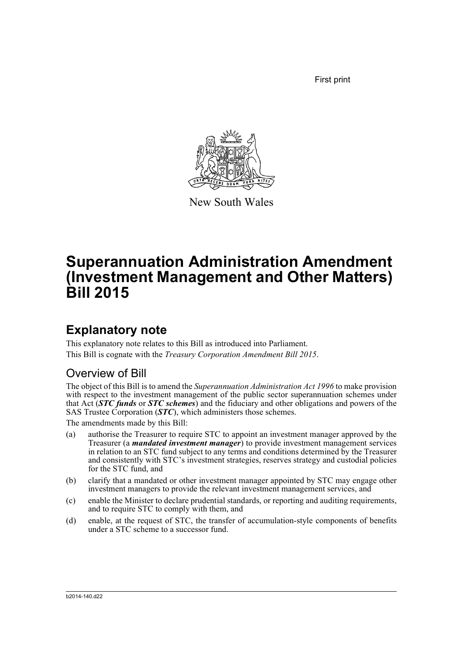First print



New South Wales

# **Superannuation Administration Amendment (Investment Management and Other Matters) Bill 2015**

## **Explanatory note**

This explanatory note relates to this Bill as introduced into Parliament. This Bill is cognate with the *Treasury Corporation Amendment Bill 2015*.

### Overview of Bill

The object of this Bill is to amend the *Superannuation Administration Act 1996* to make provision with respect to the investment management of the public sector superannuation schemes under that Act (*STC funds* or *STC schemes*) and the fiduciary and other obligations and powers of the SAS Trustee Corporation (*STC*), which administers those schemes.

The amendments made by this Bill:

- (a) authorise the Treasurer to require STC to appoint an investment manager approved by the Treasurer (a *mandated investment manager*) to provide investment management services in relation to an STC fund subject to any terms and conditions determined by the Treasurer and consistently with STC's investment strategies, reserves strategy and custodial policies for the STC fund, and
- (b) clarify that a mandated or other investment manager appointed by STC may engage other investment managers to provide the relevant investment management services, and
- (c) enable the Minister to declare prudential standards, or reporting and auditing requirements, and to require STC to comply with them, and
- (d) enable, at the request of STC, the transfer of accumulation-style components of benefits under a STC scheme to a successor fund.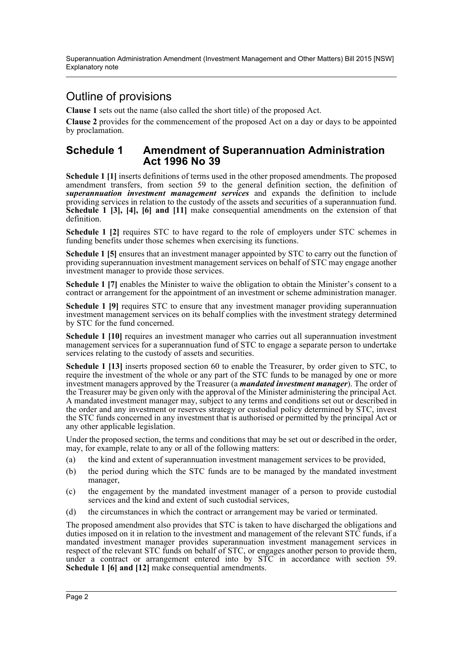### Outline of provisions

**Clause 1** sets out the name (also called the short title) of the proposed Act.

**Clause 2** provides for the commencement of the proposed Act on a day or days to be appointed by proclamation.

#### **Schedule 1 Amendment of Superannuation Administration Act 1996 No 39**

**Schedule 1 [1]** inserts definitions of terms used in the other proposed amendments. The proposed amendment transfers, from section 59 to the general definition section, the definition of *superannuation investment management services* and expands the definition to include providing services in relation to the custody of the assets and securities of a superannuation fund. **Schedule 1 [3], [4], [6] and [11]** make consequential amendments on the extension of that definition.

**Schedule 1 [2]** requires STC to have regard to the role of employers under STC schemes in funding benefits under those schemes when exercising its functions.

**Schedule 1 [5]** ensures that an investment manager appointed by STC to carry out the function of providing superannuation investment management services on behalf of STC may engage another investment manager to provide those services.

**Schedule 1 [7]** enables the Minister to waive the obligation to obtain the Minister's consent to a contract or arrangement for the appointment of an investment or scheme administration manager.

**Schedule 1 [9]** requires STC to ensure that any investment manager providing superannuation investment management services on its behalf complies with the investment strategy determined by STC for the fund concerned.

**Schedule 1 [10]** requires an investment manager who carries out all superannuation investment management services for a superannuation fund of STC to engage a separate person to undertake services relating to the custody of assets and securities.

**Schedule 1 [13]** inserts proposed section 60 to enable the Treasurer, by order given to STC, to require the investment of the whole or any part of the STC funds to be managed by one or more investment managers approved by the Treasurer (a *mandated investment manager*). The order of the Treasurer may be given only with the approval of the Minister administering the principal Act. A mandated investment manager may, subject to any terms and conditions set out or described in the order and any investment or reserves strategy or custodial policy determined by STC, invest the STC funds concerned in any investment that is authorised or permitted by the principal Act or any other applicable legislation.

Under the proposed section, the terms and conditions that may be set out or described in the order, may, for example, relate to any or all of the following matters:

- (a) the kind and extent of superannuation investment management services to be provided,
- (b) the period during which the STC funds are to be managed by the mandated investment manager,
- (c) the engagement by the mandated investment manager of a person to provide custodial services and the kind and extent of such custodial services,
- (d) the circumstances in which the contract or arrangement may be varied or terminated.

The proposed amendment also provides that STC is taken to have discharged the obligations and duties imposed on it in relation to the investment and management of the relevant STC funds, if a mandated investment manager provides superannuation investment management services in respect of the relevant STC funds on behalf of STC, or engages another person to provide them, under a contract or arrangement entered into by STC in accordance with section 59. **Schedule 1 [6] and [12]** make consequential amendments.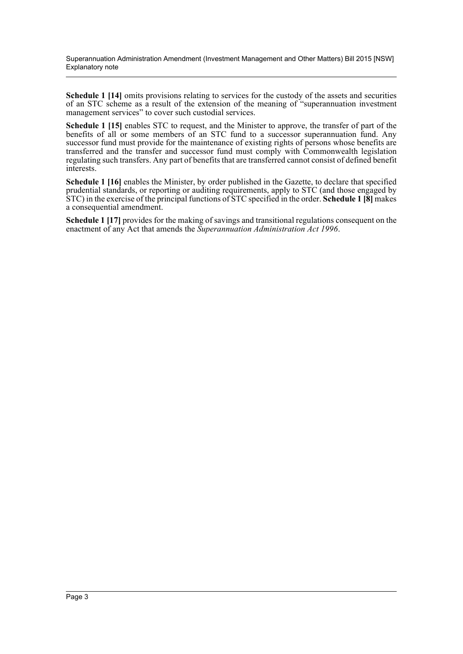Superannuation Administration Amendment (Investment Management and Other Matters) Bill 2015 [NSW] Explanatory note

**Schedule 1 [14]** omits provisions relating to services for the custody of the assets and securities of an STC scheme as a result of the extension of the meaning of "superannuation investment management services" to cover such custodial services.

**Schedule 1 [15]** enables STC to request, and the Minister to approve, the transfer of part of the benefits of all or some members of an STC fund to a successor superannuation fund. Any successor fund must provide for the maintenance of existing rights of persons whose benefits are transferred and the transfer and successor fund must comply with Commonwealth legislation regulating such transfers. Any part of benefits that are transferred cannot consist of defined benefit interests.

**Schedule 1 [16]** enables the Minister, by order published in the Gazette, to declare that specified prudential standards, or reporting or auditing requirements, apply to STC (and those engaged by STC) in the exercise of the principal functions of STC specified in the order. **Schedule 1 [8]** makes a consequential amendment.

**Schedule 1 [17]** provides for the making of savings and transitional regulations consequent on the enactment of any Act that amends the *Superannuation Administration Act 1996*.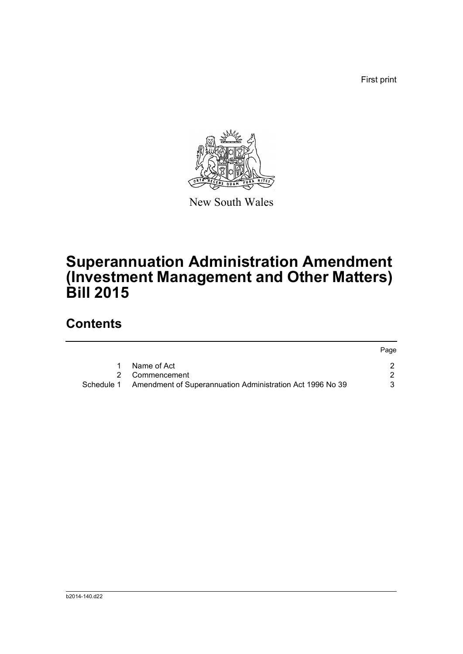First print



New South Wales

# **Superannuation Administration Amendment (Investment Management and Other Matters) Bill 2015**

## **Contents**

|            |                                                           | Page |
|------------|-----------------------------------------------------------|------|
|            | Name of Act                                               |      |
|            | 2 Commencement                                            |      |
| Schedule 1 | Amendment of Superannuation Administration Act 1996 No 39 |      |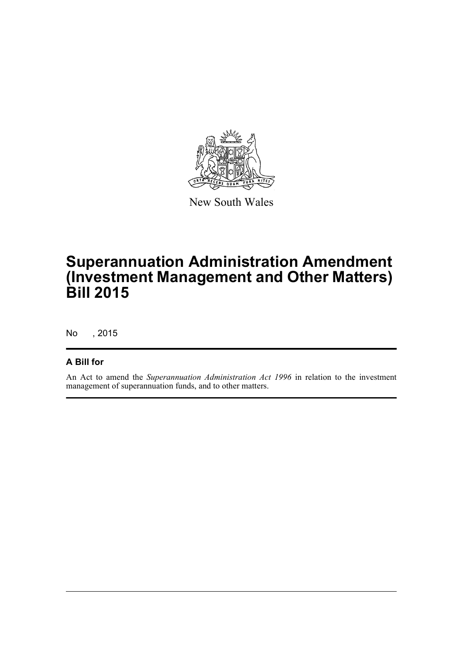

New South Wales

# **Superannuation Administration Amendment (Investment Management and Other Matters) Bill 2015**

No , 2015

#### **A Bill for**

An Act to amend the *Superannuation Administration Act 1996* in relation to the investment management of superannuation funds, and to other matters.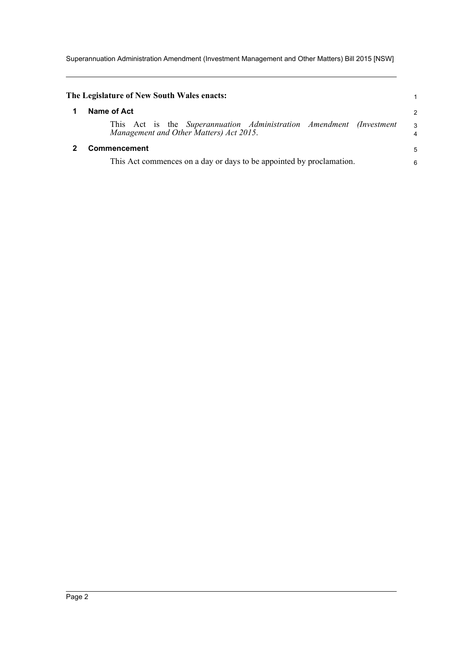Superannuation Administration Amendment (Investment Management and Other Matters) Bill 2015 [NSW]

<span id="page-5-1"></span><span id="page-5-0"></span>

| The Legislature of New South Wales enacts:                                                                     |        |  |  |  |
|----------------------------------------------------------------------------------------------------------------|--------|--|--|--|
| Name of Act                                                                                                    | 2      |  |  |  |
| This Act is the Superannuation Administration Amendment (Investment<br>Management and Other Matters) Act 2015. | 3<br>4 |  |  |  |
| <b>Commencement</b>                                                                                            | 5      |  |  |  |
| This Act commences on a day or days to be appointed by proclamation.                                           |        |  |  |  |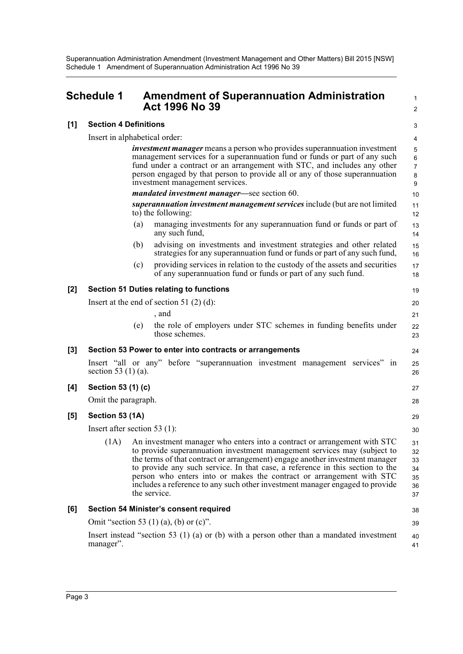Superannuation Administration Amendment (Investment Management and Other Matters) Bill 2015 [NSW] Schedule 1 Amendment of Superannuation Administration Act 1996 No 39

<span id="page-6-0"></span>

|       | <b>Schedule 1</b>                                                                                       |     | <b>Amendment of Superannuation Administration</b><br><b>Act 1996 No 39</b>                                                                                                                                                                                                                                                                                                                                                                                                                    | $\mathbf{1}$<br>2                      |
|-------|---------------------------------------------------------------------------------------------------------|-----|-----------------------------------------------------------------------------------------------------------------------------------------------------------------------------------------------------------------------------------------------------------------------------------------------------------------------------------------------------------------------------------------------------------------------------------------------------------------------------------------------|----------------------------------------|
| [1]   | <b>Section 4 Definitions</b>                                                                            |     |                                                                                                                                                                                                                                                                                                                                                                                                                                                                                               |                                        |
|       | Insert in alphabetical order:                                                                           |     |                                                                                                                                                                                                                                                                                                                                                                                                                                                                                               | 4                                      |
|       |                                                                                                         |     | <i>investment manager</i> means a person who provides superannuation investment<br>management services for a superannuation fund or funds or part of any such<br>fund under a contract or an arrangement with STC, and includes any other<br>person engaged by that person to provide all or any of those superannuation<br>investment management services.                                                                                                                                   | 5<br>$\,6$<br>$\overline{7}$<br>8<br>9 |
|       |                                                                                                         |     | mandated investment manager-see section 60.                                                                                                                                                                                                                                                                                                                                                                                                                                                   | 10                                     |
|       |                                                                                                         |     | superannuation investment management services include (but are not limited<br>to) the following:                                                                                                                                                                                                                                                                                                                                                                                              | 11<br>12                               |
|       |                                                                                                         | (a) | managing investments for any superannuation fund or funds or part of<br>any such fund,                                                                                                                                                                                                                                                                                                                                                                                                        | 13<br>14                               |
|       |                                                                                                         | (b) | advising on investments and investment strategies and other related<br>strategies for any superannuation fund or funds or part of any such fund,                                                                                                                                                                                                                                                                                                                                              | 15<br>16                               |
|       |                                                                                                         | (c) | providing services in relation to the custody of the assets and securities<br>of any superannuation fund or funds or part of any such fund.                                                                                                                                                                                                                                                                                                                                                   | 17<br>18                               |
| $[2]$ |                                                                                                         |     | <b>Section 51 Duties relating to functions</b>                                                                                                                                                                                                                                                                                                                                                                                                                                                | 19                                     |
|       | Insert at the end of section 51 $(2)$ $(d)$ :                                                           |     |                                                                                                                                                                                                                                                                                                                                                                                                                                                                                               |                                        |
|       |                                                                                                         |     | , and                                                                                                                                                                                                                                                                                                                                                                                                                                                                                         | 21                                     |
|       |                                                                                                         | (e) | the role of employers under STC schemes in funding benefits under<br>those schemes.                                                                                                                                                                                                                                                                                                                                                                                                           | 22<br>23                               |
| $[3]$ |                                                                                                         |     | Section 53 Power to enter into contracts or arrangements                                                                                                                                                                                                                                                                                                                                                                                                                                      | 24                                     |
|       | section 53 $(1)$ (a).                                                                                   |     | Insert "all or any" before "superannuation investment management services" in                                                                                                                                                                                                                                                                                                                                                                                                                 | 25<br>26                               |
| [4]   | Section 53 (1) (c)                                                                                      |     |                                                                                                                                                                                                                                                                                                                                                                                                                                                                                               |                                        |
|       | Omit the paragraph.                                                                                     |     |                                                                                                                                                                                                                                                                                                                                                                                                                                                                                               |                                        |
| [5]   | Section 53 (1A)                                                                                         |     |                                                                                                                                                                                                                                                                                                                                                                                                                                                                                               | 29                                     |
|       | Insert after section 53 $(1)$ :                                                                         |     |                                                                                                                                                                                                                                                                                                                                                                                                                                                                                               |                                        |
|       | (1A)                                                                                                    |     | An investment manager who enters into a contract or arrangement with STC<br>to provide superannuation investment management services may (subject to<br>the terms of that contract or arrangement) engage another investment manager<br>to provide any such service. In that case, a reference in this section to the<br>person who enters into or makes the contract or arrangement with STC<br>includes a reference to any such other investment manager engaged to provide<br>the service. | 31<br>32<br>33<br>34<br>35<br>36<br>37 |
| [6]   | <b>Section 54 Minister's consent required</b>                                                           |     |                                                                                                                                                                                                                                                                                                                                                                                                                                                                                               |                                        |
|       | Omit "section 53 (1) (a), (b) or $(c)$ ".                                                               |     |                                                                                                                                                                                                                                                                                                                                                                                                                                                                                               |                                        |
|       | Insert instead "section 53 $(1)$ (a) or (b) with a person other than a mandated investment<br>manager". |     |                                                                                                                                                                                                                                                                                                                                                                                                                                                                                               |                                        |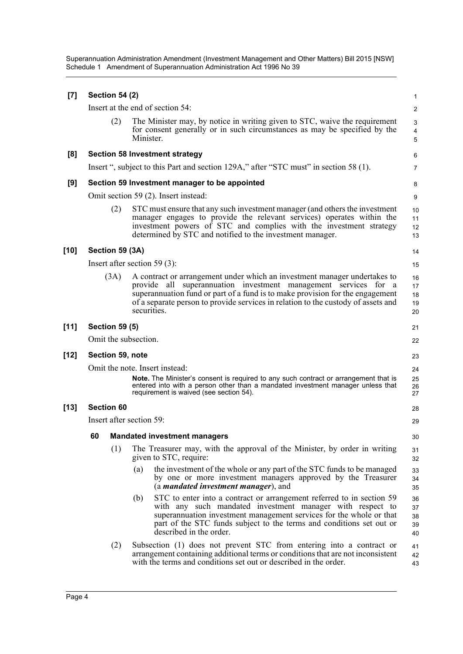Superannuation Administration Amendment (Investment Management and Other Matters) Bill 2015 [NSW] Schedule 1 Amendment of Superannuation Administration Act 1996 No 39

| [7]                      |                                | <b>Section 54 (2)</b>                         |             |                                                                                                                                                                                                                                                                                                                       | 1                          |  |
|--------------------------|--------------------------------|-----------------------------------------------|-------------|-----------------------------------------------------------------------------------------------------------------------------------------------------------------------------------------------------------------------------------------------------------------------------------------------------------------------|----------------------------|--|
|                          |                                |                                               |             | Insert at the end of section 54:                                                                                                                                                                                                                                                                                      | 2                          |  |
|                          |                                | (2)                                           | Minister.   | The Minister may, by notice in writing given to STC, waive the requirement<br>for consent generally or in such circumstances as may be specified by the                                                                                                                                                               | 3<br>4<br>5                |  |
| [8]                      |                                |                                               |             | <b>Section 58 Investment strategy</b>                                                                                                                                                                                                                                                                                 | 6                          |  |
|                          |                                |                                               |             | Insert ", subject to this Part and section 129A," after "STC must" in section 58 (1).                                                                                                                                                                                                                                 | $\overline{7}$             |  |
| [9]                      |                                | Section 59 Investment manager to be appointed |             |                                                                                                                                                                                                                                                                                                                       |                            |  |
|                          |                                |                                               |             | Omit section 59 (2). Insert instead:                                                                                                                                                                                                                                                                                  | 9                          |  |
|                          |                                | (2)                                           |             | STC must ensure that any such investment manager (and others the investment<br>manager engages to provide the relevant services) operates within the<br>investment powers of STC and complies with the investment strategy<br>determined by STC and notified to the investment manager.                               | 10<br>11<br>12<br>13       |  |
| [10]                     |                                | Section 59 (3A)                               |             |                                                                                                                                                                                                                                                                                                                       | 14                         |  |
|                          |                                |                                               |             | Insert after section 59 $(3)$ :                                                                                                                                                                                                                                                                                       | 15                         |  |
|                          |                                | (3A)                                          | securities. | A contract or arrangement under which an investment manager undertakes to<br>superannuation investment management services for a<br>provide all<br>superannuation fund or part of a fund is to make provision for the engagement<br>of a separate person to provide services in relation to the custody of assets and | 16<br>17<br>18<br>19<br>20 |  |
| $[11]$                   |                                | <b>Section 59 (5)</b>                         |             |                                                                                                                                                                                                                                                                                                                       | 21                         |  |
|                          |                                | Omit the subsection.                          |             |                                                                                                                                                                                                                                                                                                                       | 22                         |  |
| [12]<br>Section 59, note |                                |                                               |             |                                                                                                                                                                                                                                                                                                                       | 23                         |  |
|                          | Omit the note. Insert instead: |                                               |             | 24                                                                                                                                                                                                                                                                                                                    |                            |  |
|                          |                                |                                               |             | Note. The Minister's consent is required to any such contract or arrangement that is<br>entered into with a person other than a mandated investment manager unless that<br>requirement is waived (see section 54).                                                                                                    | 25<br>26<br>27             |  |
| [13]                     |                                | <b>Section 60</b>                             |             |                                                                                                                                                                                                                                                                                                                       | 28                         |  |
|                          | Insert after section 59:       |                                               |             | 29                                                                                                                                                                                                                                                                                                                    |                            |  |
|                          | 60                             |                                               |             | <b>Mandated investment managers</b>                                                                                                                                                                                                                                                                                   | 30                         |  |
|                          |                                | (1)                                           |             | The Treasurer may, with the approval of the Minister, by order in writing<br>given to STC, require:                                                                                                                                                                                                                   | 31<br>32                   |  |
|                          |                                |                                               | (a)         | the investment of the whole or any part of the STC funds to be managed<br>by one or more investment managers approved by the Treasurer<br>(a <i>mandated investment manager</i> ), and                                                                                                                                | 33<br>34<br>35             |  |
|                          |                                |                                               | (b)         | STC to enter into a contract or arrangement referred to in section 59<br>with any such mandated investment manager with respect to<br>superannuation investment management services for the whole or that<br>part of the STC funds subject to the terms and conditions set out or<br>described in the order.          | 36<br>37<br>38<br>39<br>40 |  |
|                          |                                | (2)                                           |             | Subsection (1) does not prevent STC from entering into a contract or<br>arrangement containing additional terms or conditions that are not inconsistent<br>with the terms and conditions set out or described in the order.                                                                                           | 41<br>42<br>43             |  |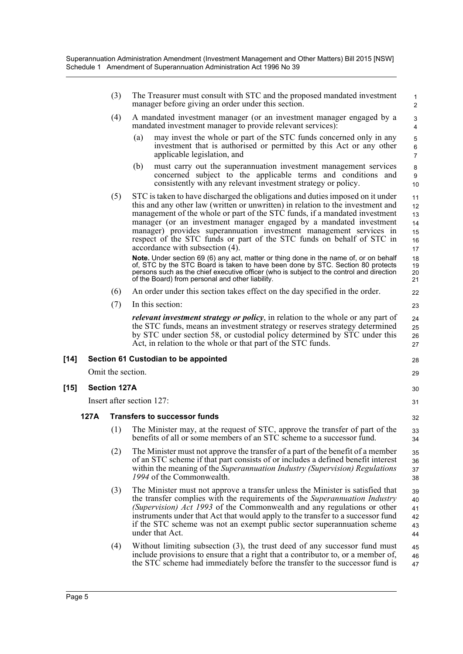|        |      | (3)                                 | The Treasurer must consult with STC and the proposed mandated investment<br>manager before giving an order under this section.                                                                                                                                                                                                                                                                                                                                                                                                                                                                   | 1<br>2                                       |
|--------|------|-------------------------------------|--------------------------------------------------------------------------------------------------------------------------------------------------------------------------------------------------------------------------------------------------------------------------------------------------------------------------------------------------------------------------------------------------------------------------------------------------------------------------------------------------------------------------------------------------------------------------------------------------|----------------------------------------------|
|        |      | (4)                                 | A mandated investment manager (or an investment manager engaged by a<br>mandated investment manager to provide relevant services):                                                                                                                                                                                                                                                                                                                                                                                                                                                               | 3<br>$\overline{4}$                          |
|        |      |                                     | may invest the whole or part of the STC funds concerned only in any<br>(a)<br>investment that is authorised or permitted by this Act or any other<br>applicable legislation, and                                                                                                                                                                                                                                                                                                                                                                                                                 | 5<br>$\,6\,$<br>$\overline{7}$               |
|        |      |                                     | must carry out the superannuation investment management services<br>(b)<br>concerned subject to the applicable terms and conditions and<br>consistently with any relevant investment strategy or policy.                                                                                                                                                                                                                                                                                                                                                                                         | 8<br>9<br>10                                 |
|        |      | (5)                                 | STC is taken to have discharged the obligations and duties imposed on it under<br>this and any other law (written or unwritten) in relation to the investment and<br>management of the whole or part of the STC funds, if a mandated investment<br>manager (or an investment manager engaged by a mandated investment<br>manager) provides superannuation investment management services in<br>respect of the STC funds or part of the STC funds on behalf of STC in<br>accordance with subsection (4).<br>Note. Under section 69 (6) any act, matter or thing done in the name of, or on behalf | 11<br>12<br>13<br>14<br>15<br>16<br>17<br>18 |
|        |      |                                     | of, STC by the STC Board is taken to have been done by STC. Section 80 protects<br>persons such as the chief executive officer (who is subject to the control and direction<br>of the Board) from personal and other liability.                                                                                                                                                                                                                                                                                                                                                                  | 19<br>20<br>21                               |
|        |      | (6)                                 | An order under this section takes effect on the day specified in the order.                                                                                                                                                                                                                                                                                                                                                                                                                                                                                                                      | 22                                           |
|        |      | (7)                                 | In this section:                                                                                                                                                                                                                                                                                                                                                                                                                                                                                                                                                                                 | 23                                           |
|        |      |                                     | <i>relevant investment strategy or policy</i> , in relation to the whole or any part of<br>the STC funds, means an investment strategy or reserves strategy determined<br>by STC under section 58, or custodial policy determined by STC under this<br>Act, in relation to the whole or that part of the STC funds.                                                                                                                                                                                                                                                                              | 24<br>25<br>26<br>27                         |
| $[14]$ |      |                                     | Section 61 Custodian to be appointed                                                                                                                                                                                                                                                                                                                                                                                                                                                                                                                                                             | 28                                           |
|        |      | Omit the section.                   |                                                                                                                                                                                                                                                                                                                                                                                                                                                                                                                                                                                                  | 29                                           |
| $[15]$ |      | <b>Section 127A</b>                 |                                                                                                                                                                                                                                                                                                                                                                                                                                                                                                                                                                                                  | 30                                           |
|        |      |                                     | Insert after section 127:                                                                                                                                                                                                                                                                                                                                                                                                                                                                                                                                                                        | 31                                           |
|        | 127A | <b>Transfers to successor funds</b> |                                                                                                                                                                                                                                                                                                                                                                                                                                                                                                                                                                                                  |                                              |
|        |      | (1)                                 | The Minister may, at the request of STC, approve the transfer of part of the<br>benefits of all or some members of an STC scheme to a successor fund.                                                                                                                                                                                                                                                                                                                                                                                                                                            | 33<br>34                                     |
|        |      | (2)                                 | The Minister must not approve the transfer of a part of the benefit of a member<br>of an STC scheme if that part consists of or includes a defined benefit interest<br>within the meaning of the Superannuation Industry (Supervision) Regulations<br>1994 of the Commonwealth.                                                                                                                                                                                                                                                                                                                  | 35<br>36<br>37<br>38                         |
|        |      | (3)                                 | The Minister must not approve a transfer unless the Minister is satisfied that<br>the transfer complies with the requirements of the Superannuation Industry                                                                                                                                                                                                                                                                                                                                                                                                                                     | 39<br>40                                     |
|        |      |                                     | (Supervision) Act 1993 of the Commonwealth and any regulations or other<br>instruments under that Act that would apply to the transfer to a successor fund<br>if the STC scheme was not an exempt public sector superannuation scheme<br>under that Act.                                                                                                                                                                                                                                                                                                                                         | 41<br>42<br>43<br>44                         |